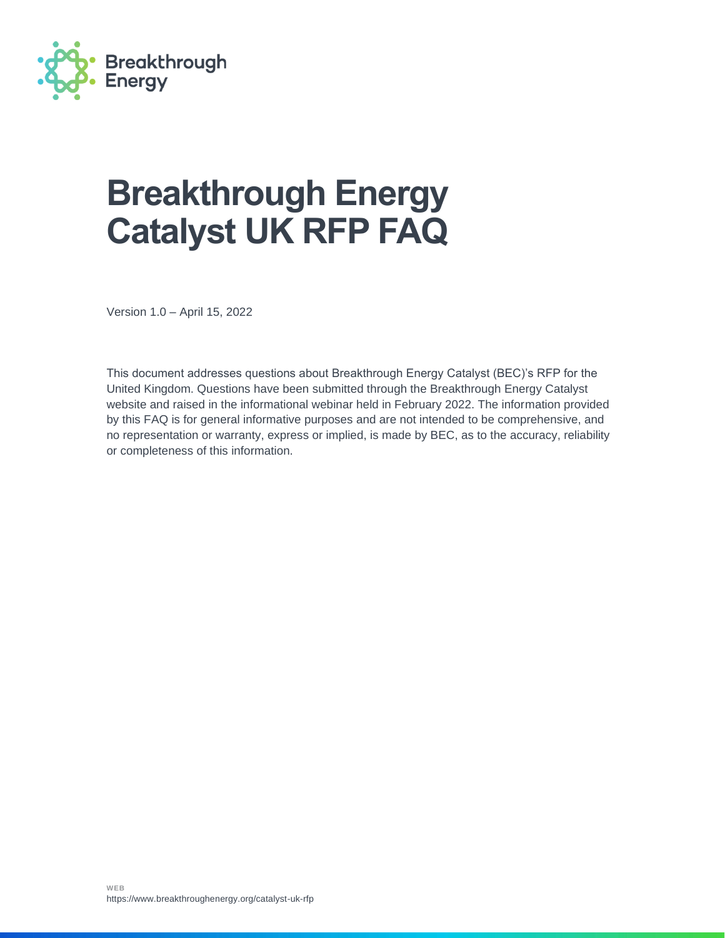

# **Breakthrough Energy Catalyst UK RFP FAQ**

Version 1.0 – April 15, 2022

This document addresses questions about Breakthrough Energy Catalyst (BEC)'s RFP for the United Kingdom. Questions have been submitted through the Breakthrough Energy Catalyst website and raised in the informational webinar held in February 2022. The information provided by this FAQ is for general informative purposes and are not intended to be comprehensive, and no representation or warranty, express or implied, is made by BEC, as to the accuracy, reliability or completeness of this information.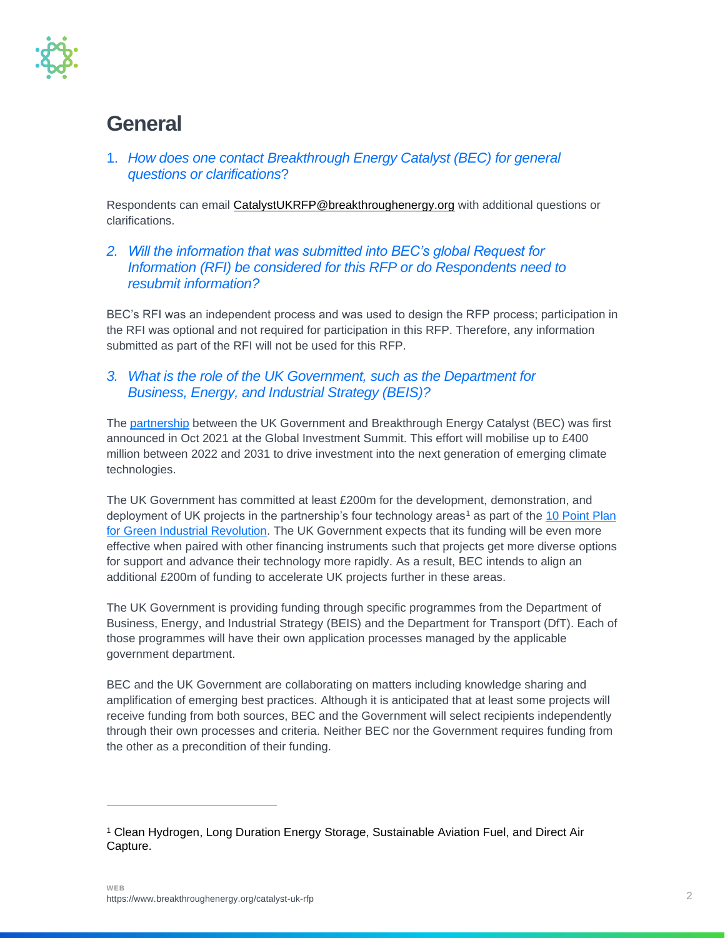

### **General**

1. *How does one contact Breakthrough Energy Catalyst (BEC) for general questions or clarifications*?

Respondents can email [CatalystUKRFP@breakthroughenergy.org](mailto:CatalystUKRFP@breakthroughenergy.org) with additional questions or clarifications.

*2. Will the information that was submitted into BEC's global Request for Information (RFI) be considered for this RFP or do Respondents need to resubmit information?*

BEC's RFI was an independent process and was used to design the RFP process; participation in the RFI was optional and not required for participation in this RFP. Therefore, any information submitted as part of the RFI will not be used for this RFP.

*3. What is the role of the UK Government, such as the Department for Business, Energy, and Industrial Strategy (BEIS)?* 

The [partnership](https://www.breakthroughenergy.org/articles/uk-catalyst-partnership) between the UK Government and Breakthrough Energy Catalyst (BEC) was first announced in Oct 2021 at the Global Investment Summit. This effort will mobilise up to £400 million between 2022 and 2031 to drive investment into the next generation of emerging climate technologies.

The UK Government has committed at least £200m for the development, demonstration, and deployment of UK projects in the partnership's four technology areas<sup>1</sup> as part of the 10 Point Plan [for Green Industrial Revolution.](https://www.gov.uk/government/publications/the-ten-point-plan-for-a-green-industrial-revolution/title) The UK Government expects that its funding will be even more effective when paired with other financing instruments such that projects get more diverse options for support and advance their technology more rapidly. As a result, BEC intends to align an additional £200m of funding to accelerate UK projects further in these areas.

The UK Government is providing funding through specific programmes from the Department of Business, Energy, and Industrial Strategy (BEIS) and the Department for Transport (DfT). Each of those programmes will have their own application processes managed by the applicable government department.

BEC and the UK Government are collaborating on matters including knowledge sharing and amplification of emerging best practices. Although it is anticipated that at least some projects will receive funding from both sources, BEC and the Government will select recipients independently through their own processes and criteria. Neither BEC nor the Government requires funding from the other as a precondition of their funding.

<sup>1</sup> Clean Hydrogen, Long Duration Energy Storage, Sustainable Aviation Fuel, and Direct Air Capture.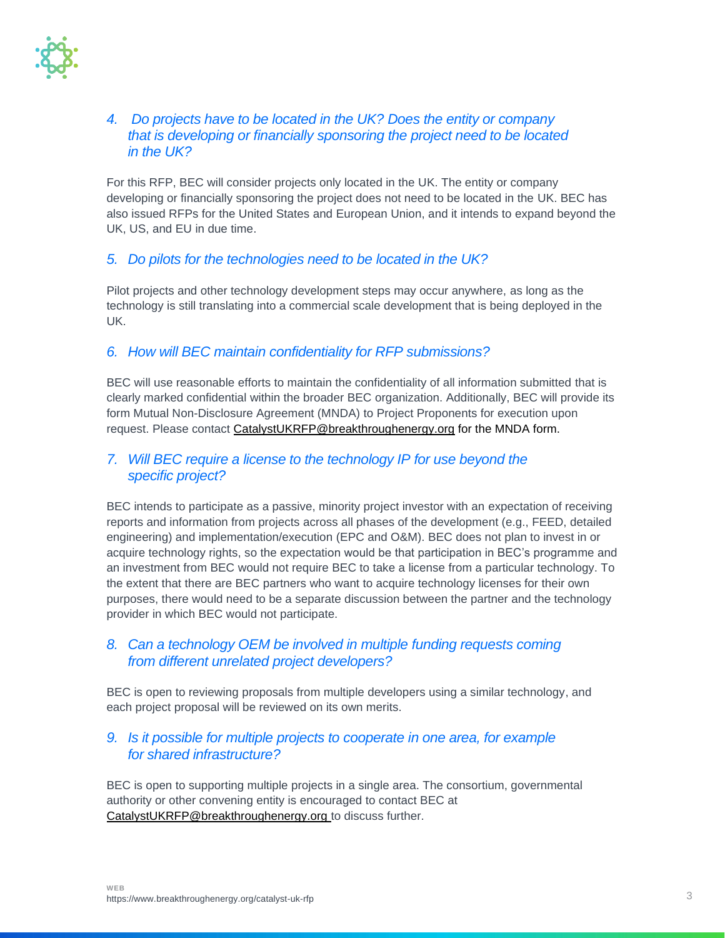

### *4. Do projects have to be located in the UK? Does the entity or company that is developing or financially sponsoring the project need to be located in the UK?*

For this RFP, BEC will consider projects only located in the UK. The entity or company developing or financially sponsoring the project does not need to be located in the UK. BEC has also issued RFPs for the United States and European Union, and it intends to expand beyond the UK, US, and EU in due time.

### *5. Do pilots for the technologies need to be located in the UK?*

Pilot projects and other technology development steps may occur anywhere, as long as the technology is still translating into a commercial scale development that is being deployed in the UK.

### *6. How will BEC maintain confidentiality for RFP submissions?*

BEC will use reasonable efforts to maintain the confidentiality of all information submitted that is clearly marked confidential within the broader BEC organization. Additionally, BEC will provide its form Mutual Non-Disclosure Agreement (MNDA) to Project Proponents for execution upon request. Please contact [CatalystUKRFP@breakthroughenergy.org](mailto:CatalystUKRFP@breakthroughenergy.org) for the MNDA form.

### *7. Will BEC require a license to the technology IP for use beyond the specific project?*

BEC intends to participate as a passive, minority project investor with an expectation of receiving reports and information from projects across all phases of the development (e.g., FEED, detailed engineering) and implementation/execution (EPC and O&M). BEC does not plan to invest in or acquire technology rights, so the expectation would be that participation in BEC's programme and an investment from BEC would not require BEC to take a license from a particular technology. To the extent that there are BEC partners who want to acquire technology licenses for their own purposes, there would need to be a separate discussion between the partner and the technology provider in which BEC would not participate.

### *8. Can a technology OEM be involved in multiple funding requests coming from different unrelated project developers?*

BEC is open to reviewing proposals from multiple developers using a similar technology, and each project proposal will be reviewed on its own merits.

### *9. Is it possible for multiple projects to cooperate in one area, for example for shared infrastructure?*

BEC is open to supporting multiple projects in a single area. The consortium, governmental authority or other convening entity is encouraged to contact BEC at [CatalystUKRFP@breakthroughenergy.org](mailto:CatalystUKRFP@breakthroughenergy.org) to discuss further.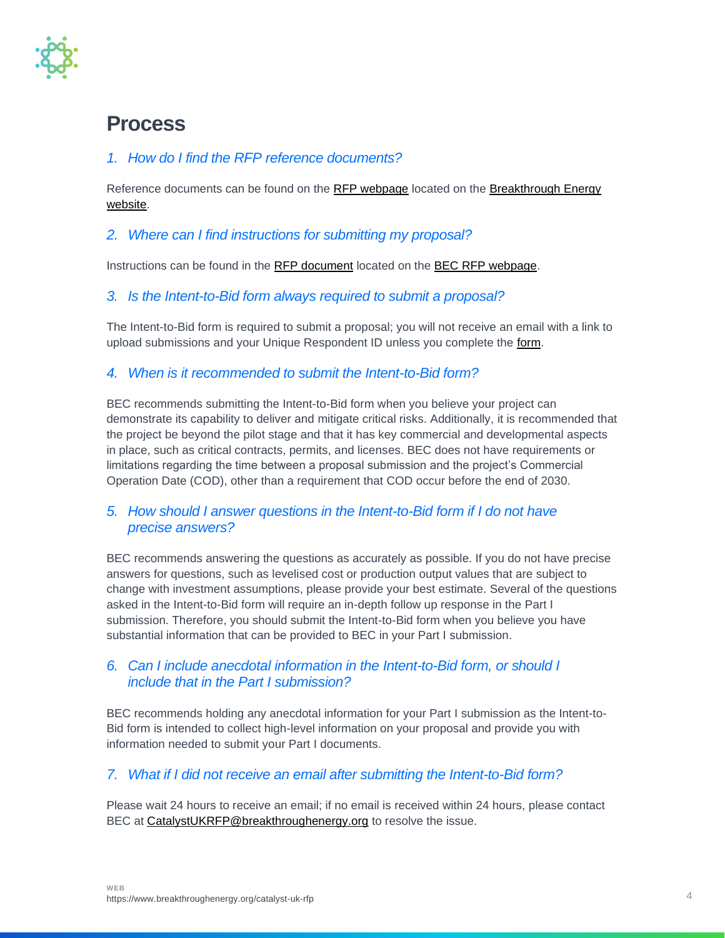

### **Process**

### *1. How do I find the RFP reference documents?*

Reference documents can be found on the [RFP webpage](https://www.breakthroughenergy.org/catalyst-uk-rfp) located on the Breakthrough Energy [website.](https://www.breakthroughenergy.org/)

### *2. Where can I find instructions for submitting my proposal?*

Instructions can be found in the [RFP document](https://www.breakthroughenergy.org/-/media/files/bev/catalyst-rfp/uk/bec-uk-rfp-rev101182022.pdf) located on the [BEC RFP webpage.](https://www.breakthroughenergy.org/catalyst-uk-rfp)

### *3. Is the Intent-to-Bid form always required to submit a proposal?*

The Intent-to-Bid form is required to submit a proposal; you will not receive an email with a link to upload submissions and your Unique Respondent ID unless you complete the [form.](https://forms.office.com/Pages/ResponsePage.aspx?id=VgCUFnQD7kGRilV2MicP6QJ30UCadfxBkM27WXPU6gVUREZITUlQWldaTENJUDU5RzlFVzNOMUhIUC4u)

### *4. When is it recommended to submit the Intent-to-Bid form?*

BEC recommends submitting the Intent-to-Bid form when you believe your project can demonstrate its capability to deliver and mitigate critical risks. Additionally, it is recommended that the project be beyond the pilot stage and that it has key commercial and developmental aspects in place, such as critical contracts, permits, and licenses. BEC does not have requirements or limitations regarding the time between a proposal submission and the project's Commercial Operation Date (COD), other than a requirement that COD occur before the end of 2030.

### *5. How should I answer questions in the Intent-to-Bid form if I do not have precise answers?*

BEC recommends answering the questions as accurately as possible. If you do not have precise answers for questions, such as levelised cost or production output values that are subject to change with investment assumptions, please provide your best estimate. Several of the questions asked in the Intent-to-Bid form will require an in-depth follow up response in the Part I submission. Therefore, you should submit the Intent-to-Bid form when you believe you have substantial information that can be provided to BEC in your Part I submission.

### *6. Can I include anecdotal information in the Intent-to-Bid form, or should I include that in the Part I submission?*

BEC recommends holding any anecdotal information for your Part I submission as the Intent-to-Bid form is intended to collect high-level information on your proposal and provide you with information needed to submit your Part I documents.

### *7. What if I did not receive an email after submitting the Intent-to-Bid form?*

Please wait 24 hours to receive an email; if no email is received within 24 hours, please contact BEC at [CatalystUKRFP@breakthroughenergy.org](mailto:CatalystUKRFP@breakthroughenergy.org) to resolve the issue.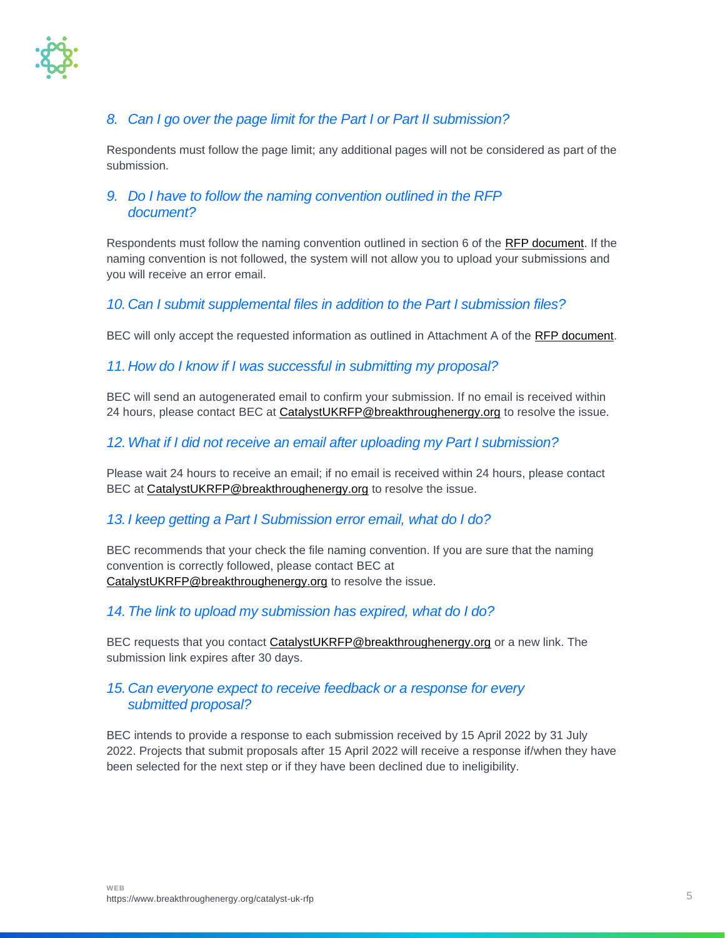

### *8. Can I go over the page limit for the Part I or Part II submission?*

Respondents must follow the page limit; any additional pages will not be considered as part of the submission.

### *9. Do I have to follow the naming convention outlined in the RFP document?*

Respondents must follow the naming convention outlined in section 6 of the [RFP document.](https://www.breakthroughenergy.org/-/media/files/bev/catalyst-rfp/uk/bec-uk-rfp-rev101182022.pdf) If the naming convention is not followed, the system will not allow you to upload your submissions and you will receive an error email.

### *10.Can I submit supplemental files in addition to the Part I submission files?*

BEC will only accept the requested information as outlined in Attachment A of the [RFP document.](https://www.breakthroughenergy.org/-/media/files/bev/catalyst-rfp/uk/bec-uk-rfp-rev101182022.pdf)

### *11.How do I know if I was successful in submitting my proposal?*

BEC will send an autogenerated email to confirm your submission. If no email is received within 24 hours, please contact BEC at [CatalystUKRFP@breakthroughenergy.org](mailto:CatalystEURFP@breakthroughenergy.org) to resolve the issue.

### *12.What if I did not receive an email after uploading my Part I submission?*

Please wait 24 hours to receive an email; if no email is received within 24 hours, please contact BEC at [CatalystUKRFP@breakthroughenergy.org](mailto:CatalystEURFP@breakthroughenergy.org) to resolve the issue.

#### *13. I keep getting a Part I Submission error email, what do I do?*

BEC recommends that your check the file naming convention. If you are sure that the naming convention is correctly followed, please contact BEC at [CatalystUKRFP@breakthroughenergy.org](mailto:CatalystEURFP@breakthroughenergy.org) to resolve the issue.

#### *14.The link to upload my submission has expired, what do I do?*

BEC requests that you contact **CatalystUKRFP@breakthroughenergy.org** or a new link. The submission link expires after 30 days.

### *15.Can everyone expect to receive feedback or a response for every submitted proposal?*

BEC intends to provide a response to each submission received by 15 April 2022 by 31 July 2022. Projects that submit proposals after 15 April 2022 will receive a response if/when they have been selected for the next step or if they have been declined due to ineligibility.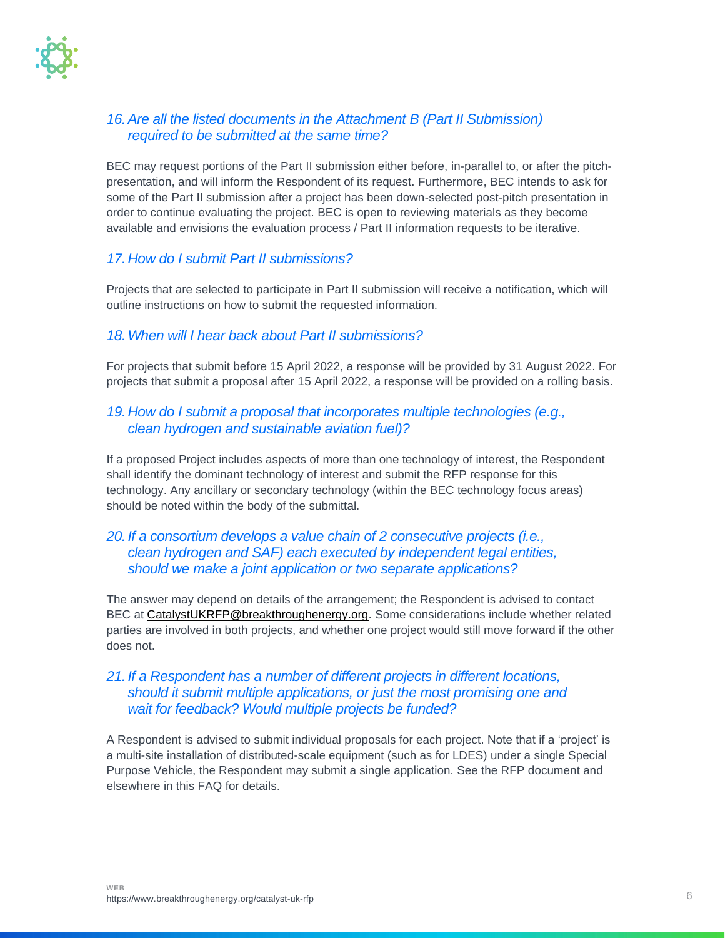

### *16.Are all the listed documents in the Attachment B (Part II Submission) required to be submitted at the same time?*

BEC may request portions of the Part II submission either before, in-parallel to, or after the pitchpresentation, and will inform the Respondent of its request. Furthermore, BEC intends to ask for some of the Part II submission after a project has been down-selected post-pitch presentation in order to continue evaluating the project. BEC is open to reviewing materials as they become available and envisions the evaluation process / Part II information requests to be iterative.

### *17.How do I submit Part II submissions?*

Projects that are selected to participate in Part II submission will receive a notification, which will outline instructions on how to submit the requested information.

### *18.When will I hear back about Part II submissions?*

For projects that submit before 15 April 2022, a response will be provided by 31 August 2022. For projects that submit a proposal after 15 April 2022, a response will be provided on a rolling basis.

### *19.How do I submit a proposal that incorporates multiple technologies (e.g., clean hydrogen and sustainable aviation fuel)?*

If a proposed Project includes aspects of more than one technology of interest, the Respondent shall identify the dominant technology of interest and submit the RFP response for this technology. Any ancillary or secondary technology (within the BEC technology focus areas) should be noted within the body of the submittal.

### *20. If a consortium develops a value chain of 2 consecutive projects (i.e., clean hydrogen and SAF) each executed by independent legal entities, should we make a joint application or two separate applications?*

The answer may depend on details of the arrangement; the Respondent is advised to contact BEC at [CatalystUKRFP@breakthroughenergy.org.](mailto:CatalystEURFP@breakthroughenergy.org) Some considerations include whether related parties are involved in both projects, and whether one project would still move forward if the other does not.

### *21. If a Respondent has a number of different projects in different locations, should it submit multiple applications, or just the most promising one and wait for feedback? Would multiple projects be funded?*

A Respondent is advised to submit individual proposals for each project. Note that if a 'project' is a multi-site installation of distributed-scale equipment (such as for LDES) under a single Special Purpose Vehicle, the Respondent may submit a single application. See the RFP document and elsewhere in this FAQ for details.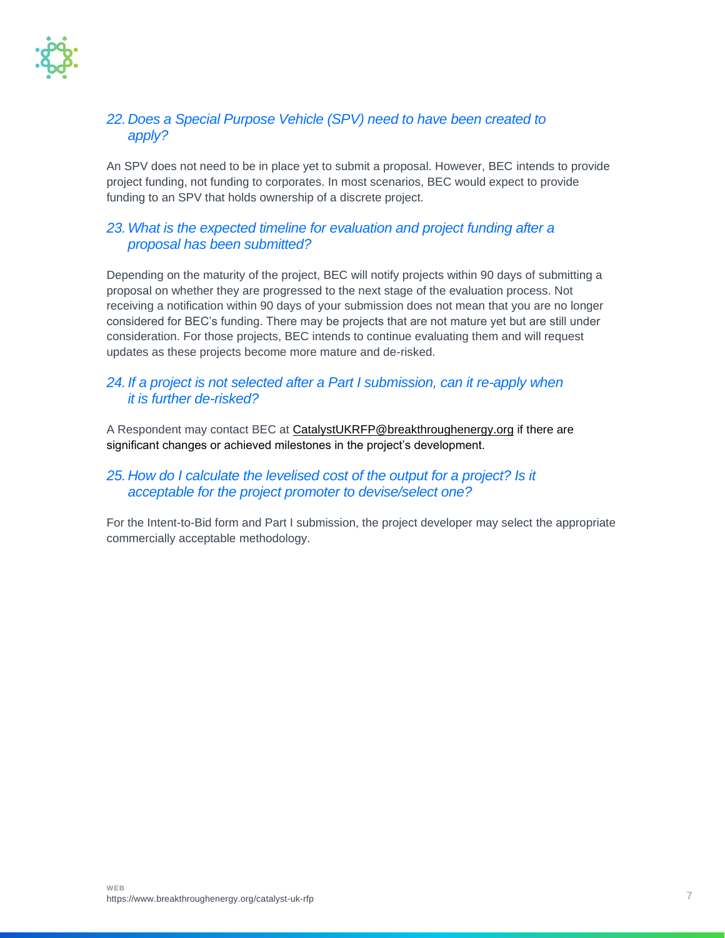

### *22.Does a Special Purpose Vehicle (SPV) need to have been created to apply?*

An SPV does not need to be in place yet to submit a proposal. However, BEC intends to provide project funding, not funding to corporates. In most scenarios, BEC would expect to provide funding to an SPV that holds ownership of a discrete project.

### *23.What is the expected timeline for evaluation and project funding after a proposal has been submitted?*

Depending on the maturity of the project, BEC will notify projects within 90 days of submitting a proposal on whether they are progressed to the next stage of the evaluation process. Not receiving a notification within 90 days of your submission does not mean that you are no longer considered for BEC's funding. There may be projects that are not mature yet but are still under consideration. For those projects, BEC intends to continue evaluating them and will request updates as these projects become more mature and de-risked.

### *24. If a project is not selected after a Part I submission, can it re-apply when it is further de-risked?*

A Respondent may contact BEC at [CatalystUKRFP@breakthroughenergy.org](mailto:CatalystEURFP@breakthroughenergy.org) if there are significant changes or achieved milestones in the project's development.

### *25.How do I calculate the levelised cost of the output for a project? Is it acceptable for the project promoter to devise/select one?*

For the Intent-to-Bid form and Part I submission, the project developer may select the appropriate commercially acceptable methodology.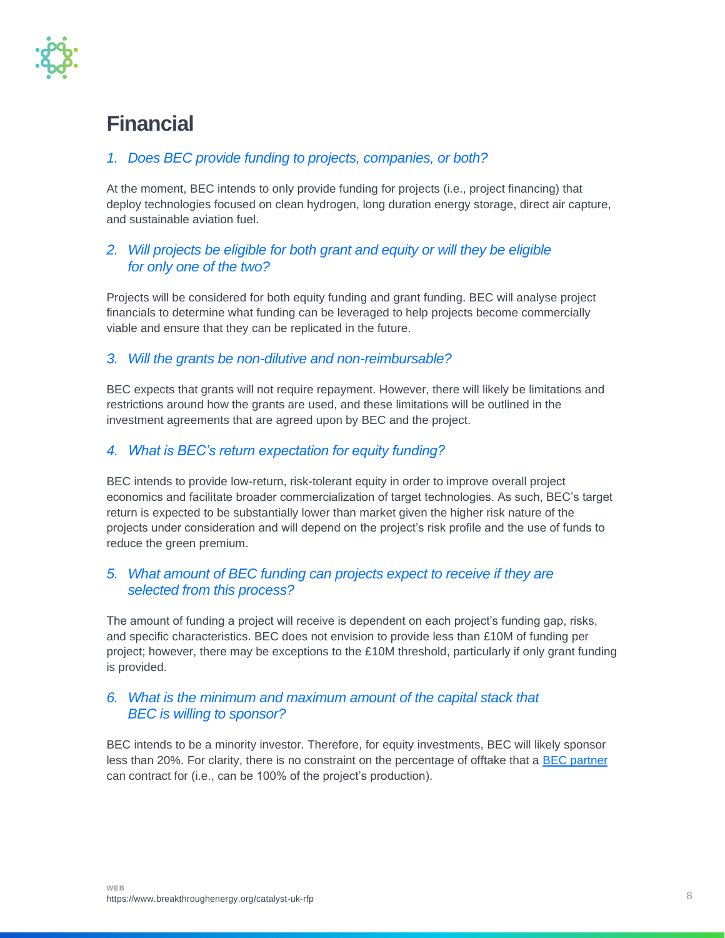

## **Financial**

### *1. Does BEC provide funding to projects, companies, or both?*

At the moment, BEC intends to only provide funding for projects (i.e., project financing) that deploy technologies focused on clean hydrogen, long duration energy storage, direct air capture, and sustainable aviation fuel.

### *2. Will projects be eligible for both grant and equity or will they be eligible for only one of the two?*

Projects will be considered for both equity funding and grant funding. BEC will analyse project financials to determine what funding can be leveraged to help projects become commercially viable and ensure that they can be replicated in the future.

### *3. Will the grants be non-dilutive and non-reimbursable?*

BEC expects that grants will not require repayment. However, there will likely be limitations and restrictions around how the grants are used, and these limitations will be outlined in the investment agreements that are agreed upon by BEC and the project.

### *4. What is BEC's return expectation for equity funding?*

BEC intends to provide low-return, risk-tolerant equity in order to improve overall project economics and facilitate broader commercialization of target technologies. As such, BEC's target return is expected to be substantially lower than market given the higher risk nature of the projects under consideration and will depend on the project's risk profile and the use of funds to reduce the green premium.

### *5. What amount of BEC funding can projects expect to receive if they are selected from this process?*

The amount of funding a project will receive is dependent on each project's funding gap, risks, and specific characteristics. BEC does not envision to provide less than £10M of funding per project; however, there may be exceptions to the £10M threshold, particularly if only grant funding is provided.

### *6. What is the minimum and maximum amount of the capital stack that BEC is willing to sponsor?*

BEC intends to be a minority investor. Therefore, for equity investments, BEC will likely sponsor less than 20%. For clarity, there is no constraint on the percentage of offtake that a [BEC partner](https://www.breakthroughenergy.org/scaling-innovation/catalyst-private-sector-partners) can contract for (i.e., can be 100% of the project's production).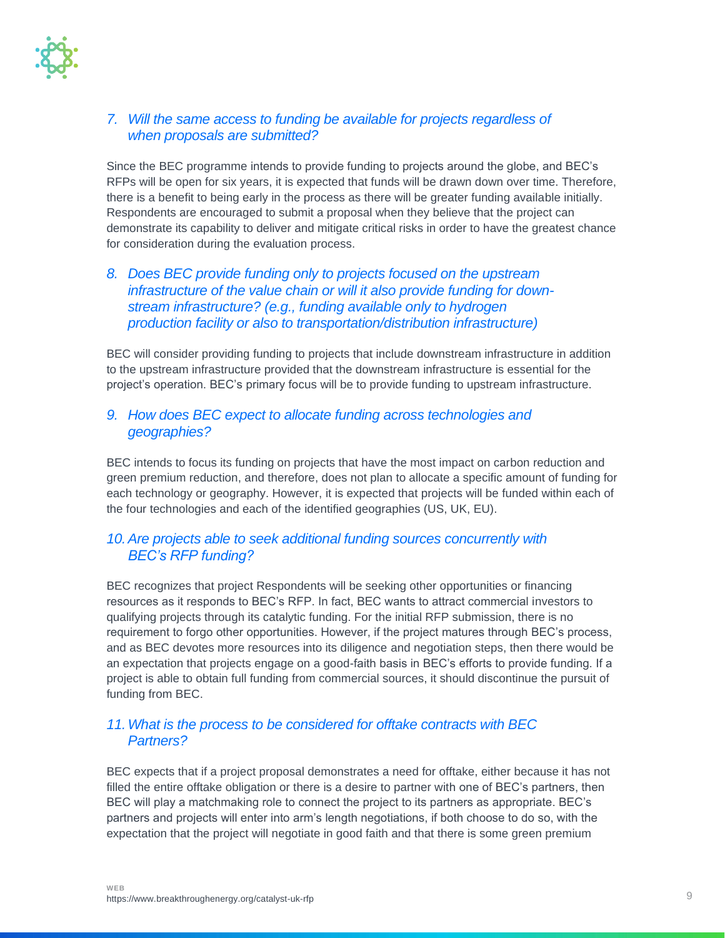

### *7. Will the same access to funding be available for projects regardless of when proposals are submitted?*

Since the BEC programme intends to provide funding to projects around the globe, and BEC's RFPs will be open for six years, it is expected that funds will be drawn down over time. Therefore, there is a benefit to being early in the process as there will be greater funding available initially. Respondents are encouraged to submit a proposal when they believe that the project can demonstrate its capability to deliver and mitigate critical risks in order to have the greatest chance for consideration during the evaluation process.

### *8. Does BEC provide funding only to projects focused on the upstream infrastructure of the value chain or will it also provide funding for downstream infrastructure? (e.g., funding available only to hydrogen production facility or also to transportation/distribution infrastructure)*

BEC will consider providing funding to projects that include downstream infrastructure in addition to the upstream infrastructure provided that the downstream infrastructure is essential for the project's operation. BEC's primary focus will be to provide funding to upstream infrastructure.

### *9. How does BEC expect to allocate funding across technologies and geographies?*

BEC intends to focus its funding on projects that have the most impact on carbon reduction and green premium reduction, and therefore, does not plan to allocate a specific amount of funding for each technology or geography. However, it is expected that projects will be funded within each of the four technologies and each of the identified geographies (US, UK, EU).

### *10.Are projects able to seek additional funding sources concurrently with BEC's RFP funding?*

BEC recognizes that project Respondents will be seeking other opportunities or financing resources as it responds to BEC's RFP. In fact, BEC wants to attract commercial investors to qualifying projects through its catalytic funding. For the initial RFP submission, there is no requirement to forgo other opportunities. However, if the project matures through BEC's process, and as BEC devotes more resources into its diligence and negotiation steps, then there would be an expectation that projects engage on a good-faith basis in BEC's efforts to provide funding. If a project is able to obtain full funding from commercial sources, it should discontinue the pursuit of funding from BEC.

### *11.What is the process to be considered for offtake contracts with BEC Partners?*

BEC expects that if a project proposal demonstrates a need for offtake, either because it has not filled the entire offtake obligation or there is a desire to partner with one of BEC's partners, then BEC will play a matchmaking role to connect the project to its partners as appropriate. BEC's partners and projects will enter into arm's length negotiations, if both choose to do so, with the expectation that the project will negotiate in good faith and that there is some green premium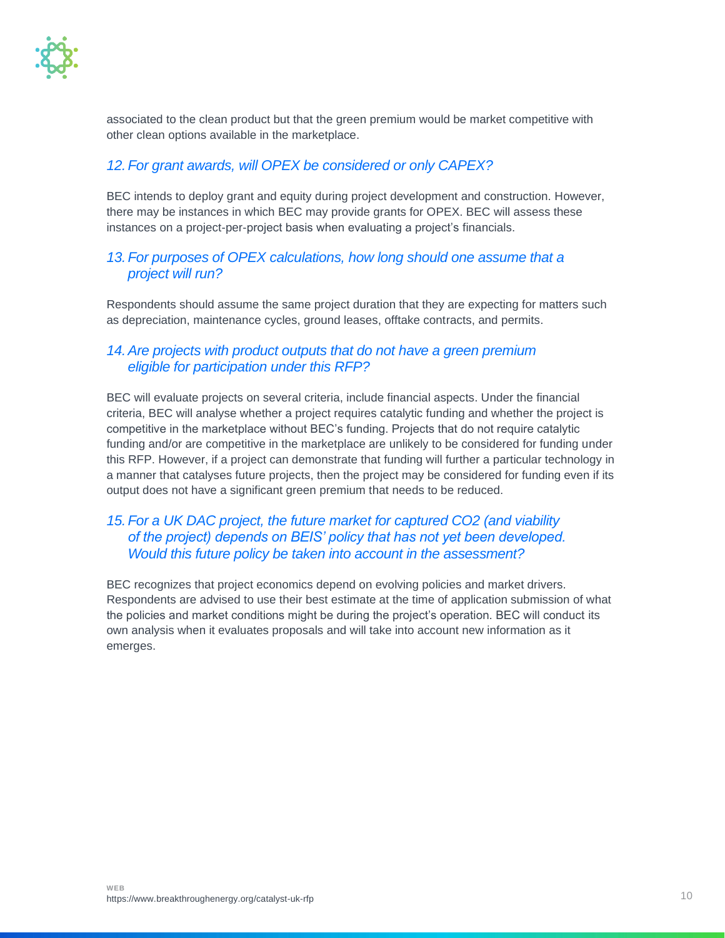

associated to the clean product but that the green premium would be market competitive with other clean options available in the marketplace.

### *12.For grant awards, will OPEX be considered or only CAPEX?*

BEC intends to deploy grant and equity during project development and construction. However, there may be instances in which BEC may provide grants for OPEX. BEC will assess these instances on a project-per-project basis when evaluating a project's financials.

### *13.For purposes of OPEX calculations, how long should one assume that a project will run?*

Respondents should assume the same project duration that they are expecting for matters such as depreciation, maintenance cycles, ground leases, offtake contracts, and permits.

### *14.Are projects with product outputs that do not have a green premium eligible for participation under this RFP?*

BEC will evaluate projects on several criteria, include financial aspects. Under the financial criteria, BEC will analyse whether a project requires catalytic funding and whether the project is competitive in the marketplace without BEC's funding. Projects that do not require catalytic funding and/or are competitive in the marketplace are unlikely to be considered for funding under this RFP. However, if a project can demonstrate that funding will further a particular technology in a manner that catalyses future projects, then the project may be considered for funding even if its output does not have a significant green premium that needs to be reduced.

### *15.For a UK DAC project, the future market for captured CO2 (and viability of the project) depends on BEIS' policy that has not yet been developed. Would this future policy be taken into account in the assessment?*

BEC recognizes that project economics depend on evolving policies and market drivers. Respondents are advised to use their best estimate at the time of application submission of what the policies and market conditions might be during the project's operation. BEC will conduct its own analysis when it evaluates proposals and will take into account new information as it emerges.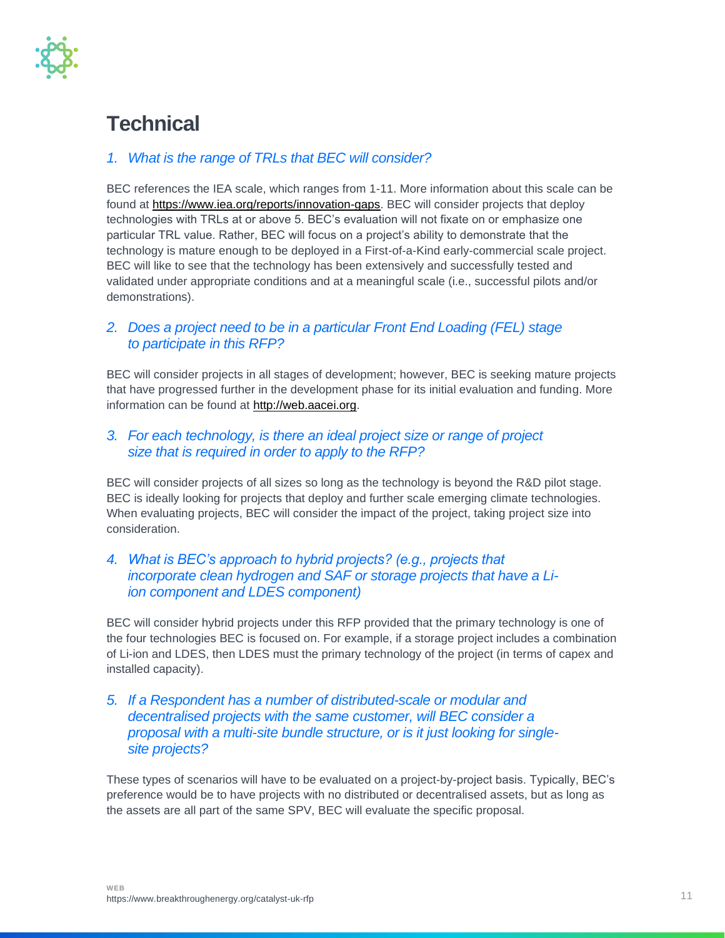

# **Technical**

### *1. What is the range of TRLs that BEC will consider?*

BEC references the IEA scale, which ranges from 1-11. More information about this scale can be found at [https://www.iea.org/reports/innovation-gaps.](https://www.iea.org/reports/innovation-gaps) BEC will consider projects that deploy technologies with TRLs at or above 5. BEC's evaluation will not fixate on or emphasize one particular TRL value. Rather, BEC will focus on a project's ability to demonstrate that the technology is mature enough to be deployed in a First-of-a-Kind early-commercial scale project. BEC will like to see that the technology has been extensively and successfully tested and validated under appropriate conditions and at a meaningful scale (i.e., successful pilots and/or demonstrations).

### *2. Does a project need to be in a particular Front End Loading (FEL) stage to participate in this RFP?*

BEC will consider projects in all stages of development; however, BEC is seeking mature projects that have progressed further in the development phase for its initial evaluation and funding. More information can be found at [http://web.aacei.org.](http://web.aacei.org/)

### *3. For each technology, is there an ideal project size or range of project size that is required in order to apply to the RFP?*

BEC will consider projects of all sizes so long as the technology is beyond the R&D pilot stage. BEC is ideally looking for projects that deploy and further scale emerging climate technologies. When evaluating projects, BEC will consider the impact of the project, taking project size into consideration.

### *4. What is BEC's approach to hybrid projects? (e.g., projects that incorporate clean hydrogen and SAF or storage projects that have a Liion component and LDES component)*

BEC will consider hybrid projects under this RFP provided that the primary technology is one of the four technologies BEC is focused on. For example, if a storage project includes a combination of Li-ion and LDES, then LDES must the primary technology of the project (in terms of capex and installed capacity).

### *5. If a Respondent has a number of distributed-scale or modular and decentralised projects with the same customer, will BEC consider a proposal with a multi-site bundle structure, or is it just looking for singlesite projects?*

These types of scenarios will have to be evaluated on a project-by-project basis. Typically, BEC's preference would be to have projects with no distributed or decentralised assets, but as long as the assets are all part of the same SPV, BEC will evaluate the specific proposal.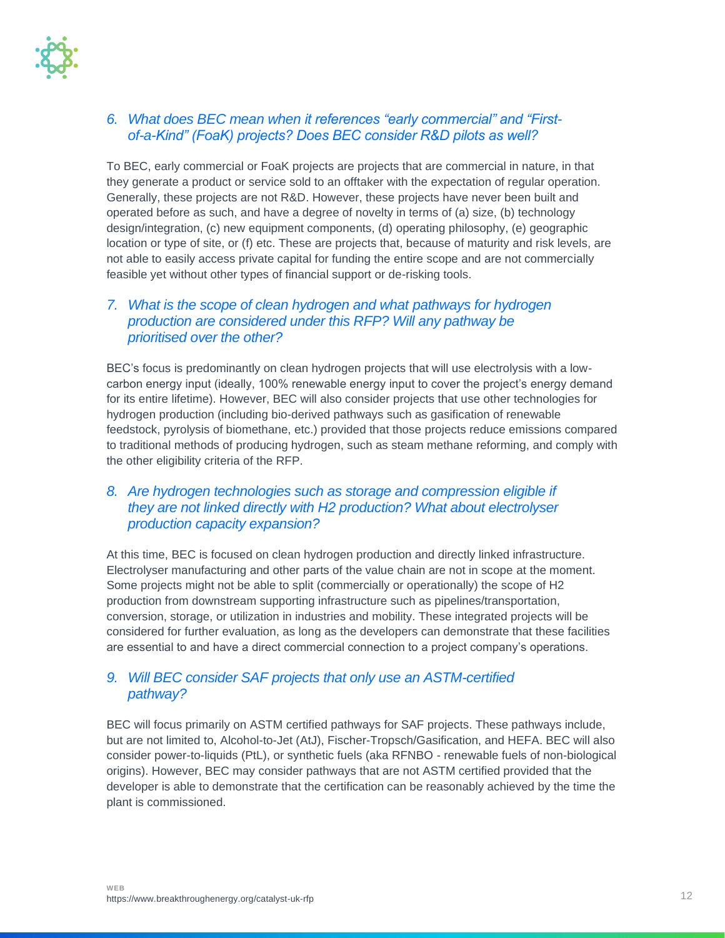

### *6. What does BEC mean when it references "early commercial" and "Firstof-a-Kind" (FoaK) projects? Does BEC consider R&D pilots as well?*

To BEC, early commercial or FoaK projects are projects that are commercial in nature, in that they generate a product or service sold to an offtaker with the expectation of regular operation. Generally, these projects are not R&D. However, these projects have never been built and operated before as such, and have a degree of novelty in terms of (a) size, (b) technology design/integration, (c) new equipment components, (d) operating philosophy, (e) geographic location or type of site, or (f) etc. These are projects that, because of maturity and risk levels, are not able to easily access private capital for funding the entire scope and are not commercially feasible yet without other types of financial support or de-risking tools.

### *7. What is the scope of clean hydrogen and what pathways for hydrogen production are considered under this RFP? Will any pathway be prioritised over the other?*

BEC's focus is predominantly on clean hydrogen projects that will use electrolysis with a lowcarbon energy input (ideally, 100% renewable energy input to cover the project's energy demand for its entire lifetime). However, BEC will also consider projects that use other technologies for hydrogen production (including bio-derived pathways such as gasification of renewable feedstock, pyrolysis of biomethane, etc.) provided that those projects reduce emissions compared to traditional methods of producing hydrogen, such as steam methane reforming, and comply with the other eligibility criteria of the RFP.

### *8. Are hydrogen technologies such as storage and compression eligible if they are not linked directly with H2 production? What about electrolyser production capacity expansion?*

At this time, BEC is focused on clean hydrogen production and directly linked infrastructure. Electrolyser manufacturing and other parts of the value chain are not in scope at the moment. Some projects might not be able to split (commercially or operationally) the scope of H2 production from downstream supporting infrastructure such as pipelines/transportation, conversion, storage, or utilization in industries and mobility. These integrated projects will be considered for further evaluation, as long as the developers can demonstrate that these facilities are essential to and have a direct commercial connection to a project company's operations.

### *9. Will BEC consider SAF projects that only use an ASTM-certified pathway?*

BEC will focus primarily on ASTM certified pathways for SAF projects. These pathways include, but are not limited to, Alcohol-to-Jet (AtJ), Fischer-Tropsch/Gasification, and HEFA. BEC will also consider power-to-liquids (PtL), or synthetic fuels (aka RFNBO - renewable fuels of non-biological origins). However, BEC may consider pathways that are not ASTM certified provided that the developer is able to demonstrate that the certification can be reasonably achieved by the time the plant is commissioned.